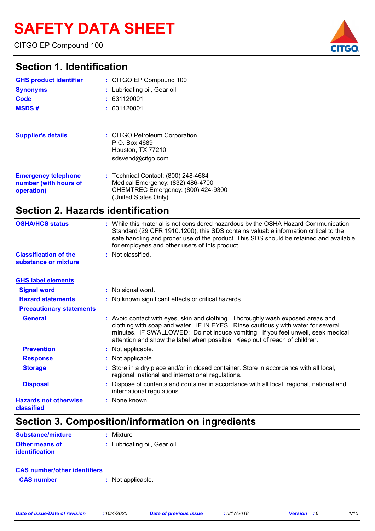# **SAFETY DATA SHEET**

CITGO EP Compound 100

### **Section**

|                                  |                                                                                          | GHUU. |
|----------------------------------|------------------------------------------------------------------------------------------|-------|
| <b>Section 1. Identification</b> |                                                                                          |       |
| <b>GHS product identifier</b>    | : CITGO EP Compound 100                                                                  |       |
| <b>Synonyms</b>                  | : Lubricating oil, Gear oil                                                              |       |
| <b>Code</b>                      | : 631120001                                                                              |       |
| <b>MSDS#</b>                     | : 631120001                                                                              |       |
| <b>Supplier's details</b>        | : CITGO Petroleum Corporation<br>P.O. Box 4689<br>Houston, TX 77210<br>sdsvend@citgo.com |       |

| Medical Emergency: (832) 486-4700<br>number (with hours of |  |
|------------------------------------------------------------|--|
| CHEMTREC Emergency: (800) 424-9300<br>operation)           |  |
| (United States Only)                                       |  |

## **Section 2. Hazards identification**

| <b>OSHA/HCS status</b>                               | : While this material is not considered hazardous by the OSHA Hazard Communication<br>Standard (29 CFR 1910.1200), this SDS contains valuable information critical to the<br>safe handling and proper use of the product. This SDS should be retained and available<br>for employees and other users of this product.                 |
|------------------------------------------------------|---------------------------------------------------------------------------------------------------------------------------------------------------------------------------------------------------------------------------------------------------------------------------------------------------------------------------------------|
| <b>Classification of the</b><br>substance or mixture | : Not classified.                                                                                                                                                                                                                                                                                                                     |
| <b>GHS label elements</b>                            |                                                                                                                                                                                                                                                                                                                                       |
| <b>Signal word</b>                                   | : No signal word.                                                                                                                                                                                                                                                                                                                     |
| <b>Hazard statements</b>                             | : No known significant effects or critical hazards.                                                                                                                                                                                                                                                                                   |
| <b>Precautionary statements</b>                      |                                                                                                                                                                                                                                                                                                                                       |
| <b>General</b>                                       | : Avoid contact with eyes, skin and clothing. Thoroughly wash exposed areas and<br>clothing with soap and water. IF IN EYES: Rinse cautiously with water for several<br>minutes. IF SWALLOWED: Do not induce vomiting. If you feel unwell, seek medical<br>attention and show the label when possible. Keep out of reach of children. |
| <b>Prevention</b>                                    | : Not applicable.                                                                                                                                                                                                                                                                                                                     |
| <b>Response</b>                                      | : Not applicable.                                                                                                                                                                                                                                                                                                                     |
| <b>Storage</b>                                       | : Store in a dry place and/or in closed container. Store in accordance with all local,<br>regional, national and international regulations.                                                                                                                                                                                           |
| <b>Disposal</b>                                      | : Dispose of contents and container in accordance with all local, regional, national and<br>international regulations.                                                                                                                                                                                                                |
| <b>Hazards not otherwise</b><br>classified           | : None known.                                                                                                                                                                                                                                                                                                                         |
|                                                      |                                                                                                                                                                                                                                                                                                                                       |

### **Section 3. Composition/information on ingredients**

| <b>Substance/mixture</b> | $:$ Mixture                 |
|--------------------------|-----------------------------|
| <b>Other means of</b>    | : Lubricating oil, Gear oil |
| <i>identification</i>    |                             |

| <b>CAS number/other identifiers</b> |  |                   |
|-------------------------------------|--|-------------------|
| <b>CAS</b> number                   |  | : Not applicable. |

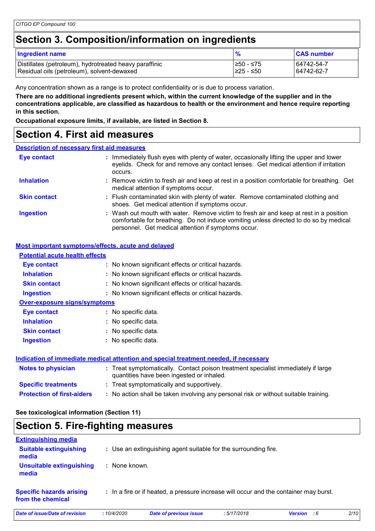### **Section 3. Composition/information on ingredients**

| <b>Ingredient name</b>                                 | %          | <b>CAS number</b> |
|--------------------------------------------------------|------------|-------------------|
| Distillates (petroleum), hydrotreated heavy paraffinic | 1≥50 - ≤75 | 64742-54-7        |
| Residual oils (petroleum), solvent-dewaxed             | I≥25 - ≤50 | 64742-62-7        |

Any concentration shown as a range is to protect confidentiality or is due to process variation.

**There are no additional ingredients present which, within the current knowledge of the supplier and in the concentrations applicable, are classified as hazardous to health or the environment and hence require reporting in this section.**

**Occupational exposure limits, if available, are listed in Section 8.**

### **Section 4. First aid measures**

#### **Description of necessary first aid measures**

| Eye contact         | : Immediately flush eyes with plenty of water, occasionally lifting the upper and lower<br>eyelids. Check for and remove any contact lenses. Get medical attention if irritation                                                       |  |
|---------------------|----------------------------------------------------------------------------------------------------------------------------------------------------------------------------------------------------------------------------------------|--|
| <b>Inhalation</b>   | : Remove victim to fresh air and keep at rest in a position comfortable for breathing. Get<br>medical attention if symptoms occur.                                                                                                     |  |
| <b>Skin contact</b> | : Flush contaminated skin with plenty of water. Remove contaminated clothing and<br>shoes. Get medical attention if symptoms occur.                                                                                                    |  |
| <b>Ingestion</b>    | : Wash out mouth with water. Remove victim to fresh air and keep at rest in a position<br>comfortable for breathing. Do not induce vomiting unless directed to do so by medical<br>personnel. Get medical attention if symptoms occur. |  |

#### **Most important symptoms/effects, acute and delayed**

| <b>Potential acute health effects</b> |                                                                                                                                |
|---------------------------------------|--------------------------------------------------------------------------------------------------------------------------------|
| Eye contact                           | : No known significant effects or critical hazards.                                                                            |
| <b>Inhalation</b>                     | : No known significant effects or critical hazards.                                                                            |
| <b>Skin contact</b>                   | : No known significant effects or critical hazards.                                                                            |
| <b>Ingestion</b>                      | : No known significant effects or critical hazards.                                                                            |
| <b>Over-exposure signs/symptoms</b>   |                                                                                                                                |
| Eye contact                           | : No specific data.                                                                                                            |
| <b>Inhalation</b>                     | : No specific data.                                                                                                            |
| <b>Skin contact</b>                   | : No specific data.                                                                                                            |
| <b>Ingestion</b>                      | No specific data.                                                                                                              |
|                                       | Indication of immediate medical attention and special treatment needed, if necessary                                           |
| <b>Notes to physician</b>             | : Treat symptomatically. Contact poison treatment specialist immediately if large<br>quantities have been ingested or inhaled. |
| <b>Specific treatments</b>            | : Treat symptomatically and supportively.                                                                                      |

**Protection of first-aiders :** No action shall be taken involving any personal risk or without suitable training.

### **See toxicological information (Section 11)**

### **Section 5. Fire-fighting measures**

| <b>Extinguishing media</b>                           |               |                                                                                       |            |                    |      |
|------------------------------------------------------|---------------|---------------------------------------------------------------------------------------|------------|--------------------|------|
| <b>Suitable extinguishing</b><br>media               |               | : Use an extinguishing agent suitable for the surrounding fire.                       |            |                    |      |
| Unsuitable extinguishing<br>media                    | : None known. |                                                                                       |            |                    |      |
| <b>Specific hazards arising</b><br>from the chemical |               | : In a fire or if heated, a pressure increase will occur and the container may burst. |            |                    |      |
| Date of issue/Date of revision                       | :10/4/2020    | <b>Date of previous issue</b>                                                         | :5/17/2018 | <b>Version</b> : 6 | 2/10 |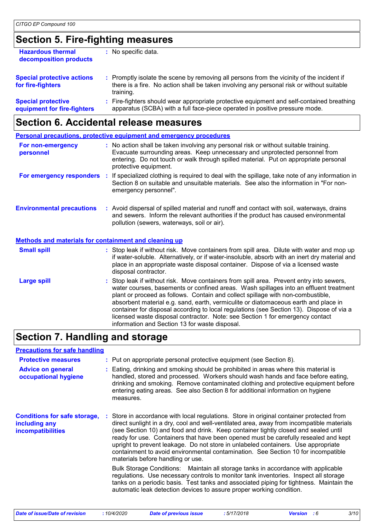## **Section 5. Fire-fighting measures**

| <b>Hazardous thermal</b><br>decomposition products       | No specific data.                                                                                                                                                                                   |
|----------------------------------------------------------|-----------------------------------------------------------------------------------------------------------------------------------------------------------------------------------------------------|
| <b>Special protective actions</b><br>for fire-fighters   | : Promptly isolate the scene by removing all persons from the vicinity of the incident if<br>there is a fire. No action shall be taken involving any personal risk or without suitable<br>training. |
| <b>Special protective</b><br>equipment for fire-fighters | : Fire-fighters should wear appropriate protective equipment and self-contained breathing<br>apparatus (SCBA) with a full face-piece operated in positive pressure mode.                            |
|                                                          |                                                                                                                                                                                                     |

## **Section 6. Accidental release measures**

|                                                       | <b>Personal precautions, protective equipment and emergency procedures</b>                                                                                                                                                                                                                                                                                                                                                                                                                                                                                                                 |
|-------------------------------------------------------|--------------------------------------------------------------------------------------------------------------------------------------------------------------------------------------------------------------------------------------------------------------------------------------------------------------------------------------------------------------------------------------------------------------------------------------------------------------------------------------------------------------------------------------------------------------------------------------------|
| For non-emergency<br>personnel                        | : No action shall be taken involving any personal risk or without suitable training.<br>Evacuate surrounding areas. Keep unnecessary and unprotected personnel from<br>entering. Do not touch or walk through spilled material. Put on appropriate personal<br>protective equipment.                                                                                                                                                                                                                                                                                                       |
| For emergency responders                              | : If specialized clothing is required to deal with the spillage, take note of any information in<br>Section 8 on suitable and unsuitable materials. See also the information in "For non-<br>emergency personnel".                                                                                                                                                                                                                                                                                                                                                                         |
| <b>Environmental precautions</b>                      | : Avoid dispersal of spilled material and runoff and contact with soil, waterways, drains<br>and sewers. Inform the relevant authorities if the product has caused environmental<br>pollution (sewers, waterways, soil or air).                                                                                                                                                                                                                                                                                                                                                            |
| Methods and materials for containment and cleaning up |                                                                                                                                                                                                                                                                                                                                                                                                                                                                                                                                                                                            |
| <b>Small spill</b>                                    | : Stop leak if without risk. Move containers from spill area. Dilute with water and mop up<br>if water-soluble. Alternatively, or if water-insoluble, absorb with an inert dry material and<br>place in an appropriate waste disposal container. Dispose of via a licensed waste<br>disposal contractor.                                                                                                                                                                                                                                                                                   |
| <b>Large spill</b>                                    | : Stop leak if without risk. Move containers from spill area. Prevent entry into sewers,<br>water courses, basements or confined areas. Wash spillages into an effluent treatment<br>plant or proceed as follows. Contain and collect spillage with non-combustible,<br>absorbent material e.g. sand, earth, vermiculite or diatomaceous earth and place in<br>container for disposal according to local regulations (see Section 13). Dispose of via a<br>licensed waste disposal contractor. Note: see Section 1 for emergency contact<br>information and Section 13 for waste disposal. |

## **Section 7. Handling and storage**

#### **Precautions for safe handling**

| <b>Protective measures</b><br><b>Advice on general</b><br>occupational hygiene   | : Put on appropriate personal protective equipment (see Section 8).<br>Eating, drinking and smoking should be prohibited in areas where this material is<br>handled, stored and processed. Workers should wash hands and face before eating,<br>drinking and smoking. Remove contaminated clothing and protective equipment before<br>entering eating areas. See also Section 8 for additional information on hygiene<br>measures.                                                                                                                                                                                                                                                                                                                                                                                                                                                                                                 |
|----------------------------------------------------------------------------------|------------------------------------------------------------------------------------------------------------------------------------------------------------------------------------------------------------------------------------------------------------------------------------------------------------------------------------------------------------------------------------------------------------------------------------------------------------------------------------------------------------------------------------------------------------------------------------------------------------------------------------------------------------------------------------------------------------------------------------------------------------------------------------------------------------------------------------------------------------------------------------------------------------------------------------|
| <b>Conditions for safe storage,</b><br>including any<br><b>incompatibilities</b> | : Store in accordance with local regulations. Store in original container protected from<br>direct sunlight in a dry, cool and well-ventilated area, away from incompatible materials<br>(see Section 10) and food and drink. Keep container tightly closed and sealed until<br>ready for use. Containers that have been opened must be carefully resealed and kept<br>upright to prevent leakage. Do not store in unlabeled containers. Use appropriate<br>containment to avoid environmental contamination. See Section 10 for incompatible<br>materials before handling or use.<br>Bulk Storage Conditions: Maintain all storage tanks in accordance with applicable<br>regulations. Use necessary controls to monitor tank inventories. Inspect all storage<br>tanks on a periodic basis. Test tanks and associated piping for tightness. Maintain the<br>automatic leak detection devices to assure proper working condition. |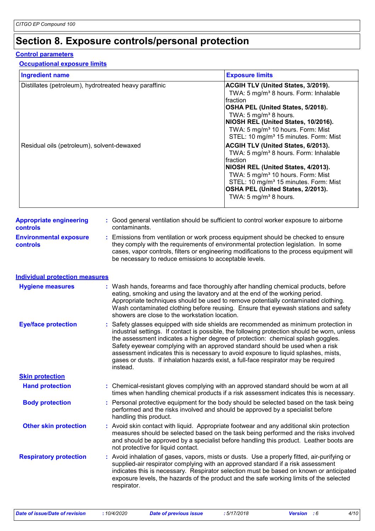## **Section 8. Exposure controls/personal protection**

#### **Control parameters**

#### **Occupational exposure limits**

| <b>Ingredient name</b>                                                                               |  |                                                                                                                                                                                                                                                                                                                                                                                                                                                                                                                                                     | <b>Exposure limits</b>                                                                                                                                                                                                                                                                                                                                                                                                                                                                                                                                                                                                                                  |  |  |
|------------------------------------------------------------------------------------------------------|--|-----------------------------------------------------------------------------------------------------------------------------------------------------------------------------------------------------------------------------------------------------------------------------------------------------------------------------------------------------------------------------------------------------------------------------------------------------------------------------------------------------------------------------------------------------|---------------------------------------------------------------------------------------------------------------------------------------------------------------------------------------------------------------------------------------------------------------------------------------------------------------------------------------------------------------------------------------------------------------------------------------------------------------------------------------------------------------------------------------------------------------------------------------------------------------------------------------------------------|--|--|
| Distillates (petroleum), hydrotreated heavy paraffinic<br>Residual oils (petroleum), solvent-dewaxed |  |                                                                                                                                                                                                                                                                                                                                                                                                                                                                                                                                                     | ACGIH TLV (United States, 3/2019).<br>TWA: 5 mg/m <sup>3</sup> 8 hours. Form: Inhalable<br>fraction<br>OSHA PEL (United States, 5/2018).<br>TWA: 5 mg/m <sup>3</sup> 8 hours.<br>NIOSH REL (United States, 10/2016).<br>TWA: 5 mg/m <sup>3</sup> 10 hours. Form: Mist<br>STEL: 10 mg/m <sup>3</sup> 15 minutes. Form: Mist<br>ACGIH TLV (United States, 6/2013).<br>TWA: 5 mg/m <sup>3</sup> 8 hours. Form: Inhalable<br>fraction<br>NIOSH REL (United States, 4/2013).<br>TWA: 5 mg/m <sup>3</sup> 10 hours. Form: Mist<br>STEL: 10 mg/m <sup>3</sup> 15 minutes. Form: Mist<br>OSHA PEL (United States, 2/2013).<br>TWA: 5 mg/m <sup>3</sup> 8 hours. |  |  |
| <b>Appropriate engineering</b><br><b>controls</b>                                                    |  | contaminants.                                                                                                                                                                                                                                                                                                                                                                                                                                                                                                                                       | : Good general ventilation should be sufficient to control worker exposure to airborne                                                                                                                                                                                                                                                                                                                                                                                                                                                                                                                                                                  |  |  |
| <b>Environmental exposure</b><br><b>controls</b>                                                     |  | : Emissions from ventilation or work process equipment should be checked to ensure<br>they comply with the requirements of environmental protection legislation. In some<br>cases, vapor controls, filters or engineering modifications to the process equipment will<br>be necessary to reduce emissions to acceptable levels.                                                                                                                                                                                                                     |                                                                                                                                                                                                                                                                                                                                                                                                                                                                                                                                                                                                                                                         |  |  |
| <b>Individual protection measures</b>                                                                |  |                                                                                                                                                                                                                                                                                                                                                                                                                                                                                                                                                     |                                                                                                                                                                                                                                                                                                                                                                                                                                                                                                                                                                                                                                                         |  |  |
| <b>Hygiene measures</b>                                                                              |  | : Wash hands, forearms and face thoroughly after handling chemical products, before<br>eating, smoking and using the lavatory and at the end of the working period.<br>Appropriate techniques should be used to remove potentially contaminated clothing.<br>Wash contaminated clothing before reusing. Ensure that eyewash stations and safety<br>showers are close to the workstation location.                                                                                                                                                   |                                                                                                                                                                                                                                                                                                                                                                                                                                                                                                                                                                                                                                                         |  |  |
| <b>Eye/face protection</b>                                                                           |  | : Safety glasses equipped with side shields are recommended as minimum protection in<br>industrial settings. If contact is possible, the following protection should be worn, unless<br>the assessment indicates a higher degree of protection: chemical splash goggles.<br>Safety eyewear complying with an approved standard should be used when a risk<br>assessment indicates this is necessary to avoid exposure to liquid splashes, mists,<br>gases or dusts. If inhalation hazards exist, a full-face respirator may be required<br>instead. |                                                                                                                                                                                                                                                                                                                                                                                                                                                                                                                                                                                                                                                         |  |  |
| <b>Skin protection</b>                                                                               |  |                                                                                                                                                                                                                                                                                                                                                                                                                                                                                                                                                     |                                                                                                                                                                                                                                                                                                                                                                                                                                                                                                                                                                                                                                                         |  |  |
| <b>Hand protection</b>                                                                               |  |                                                                                                                                                                                                                                                                                                                                                                                                                                                                                                                                                     | : Chemical-resistant gloves complying with an approved standard should be worn at all<br>times when handling chemical products if a risk assessment indicates this is necessary.                                                                                                                                                                                                                                                                                                                                                                                                                                                                        |  |  |
| <b>Body protection</b>                                                                               |  | : Personal protective equipment for the body should be selected based on the task being<br>performed and the risks involved and should be approved by a specialist before<br>handling this product.                                                                                                                                                                                                                                                                                                                                                 |                                                                                                                                                                                                                                                                                                                                                                                                                                                                                                                                                                                                                                                         |  |  |
| <b>Other skin protection</b>                                                                         |  | : Avoid skin contact with liquid. Appropriate footwear and any additional skin protection<br>measures should be selected based on the task being performed and the risks involved<br>and should be approved by a specialist before handling this product. Leather boots are<br>not protective for liquid contact.                                                                                                                                                                                                                                   |                                                                                                                                                                                                                                                                                                                                                                                                                                                                                                                                                                                                                                                         |  |  |
| <b>Respiratory protection</b>                                                                        |  | respirator.                                                                                                                                                                                                                                                                                                                                                                                                                                                                                                                                         | : Avoid inhalation of gases, vapors, mists or dusts. Use a properly fitted, air-purifying or<br>supplied-air respirator complying with an approved standard if a risk assessment<br>indicates this is necessary. Respirator selection must be based on known or anticipated<br>exposure levels, the hazards of the product and the safe working limits of the selected                                                                                                                                                                                                                                                                                  |  |  |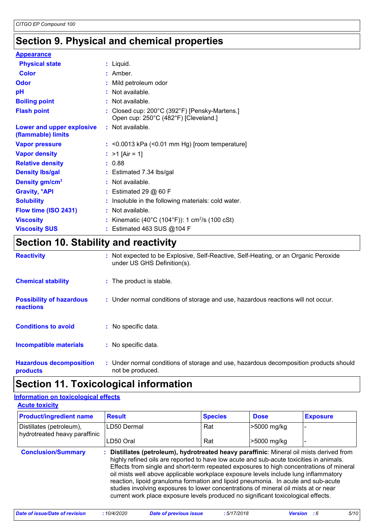## **Section 9. Physical and chemical properties**

| <b>Appearance</b>                               |                                                                                                                                                                                                                                                                                                                                    |
|-------------------------------------------------|------------------------------------------------------------------------------------------------------------------------------------------------------------------------------------------------------------------------------------------------------------------------------------------------------------------------------------|
| <b>Physical state</b>                           | : Liquid.                                                                                                                                                                                                                                                                                                                          |
| <b>Color</b>                                    | $:$ Amber.                                                                                                                                                                                                                                                                                                                         |
| <b>Odor</b>                                     | : Mild petroleum odor                                                                                                                                                                                                                                                                                                              |
| pH                                              | : Not available.                                                                                                                                                                                                                                                                                                                   |
| <b>Boiling point</b>                            | : Not available.                                                                                                                                                                                                                                                                                                                   |
| <b>Flash point</b>                              | : Closed cup: $200^{\circ}$ C (392 $^{\circ}$ F) [Pensky-Martens.]<br>Open cup: 250°C (482°F) [Cleveland.]                                                                                                                                                                                                                         |
| Lower and upper explosive<br>(flammable) limits | : Not available.                                                                                                                                                                                                                                                                                                                   |
| <b>Vapor pressure</b>                           | $:$ <0.0013 kPa (<0.01 mm Hg) [room temperature]                                                                                                                                                                                                                                                                                   |
| <b>Vapor density</b>                            | : $>1$ [Air = 1]                                                                                                                                                                                                                                                                                                                   |
| <b>Relative density</b>                         | : 0.88                                                                                                                                                                                                                                                                                                                             |
| <b>Density Ibs/gal</b>                          | : Estimated 7.34 lbs/gal                                                                                                                                                                                                                                                                                                           |
| Density gm/cm <sup>3</sup>                      | : Not available.                                                                                                                                                                                                                                                                                                                   |
| <b>Gravity, <sup>o</sup>API</b>                 | $:$ Estimated 29 $@$ 60 F                                                                                                                                                                                                                                                                                                          |
| <b>Solubility</b>                               | : Insoluble in the following materials: cold water.                                                                                                                                                                                                                                                                                |
| Flow time (ISO 2431)                            | : Not available.                                                                                                                                                                                                                                                                                                                   |
| <b>Viscosity</b>                                | : Kinematic (40°C (104°F)): 1 cm <sup>2</sup> /s (100 cSt)                                                                                                                                                                                                                                                                         |
| <b>Viscosity SUS</b>                            | : Estimated 463 SUS @104 F                                                                                                                                                                                                                                                                                                         |
| - -                                             | $\overline{a}$ and $\overline{a}$ and $\overline{a}$ and $\overline{a}$ and $\overline{a}$ and $\overline{a}$ and $\overline{a}$ and $\overline{a}$ and $\overline{a}$ and $\overline{a}$ and $\overline{a}$ and $\overline{a}$ and $\overline{a}$ and $\overline{a}$ and $\overline{a}$ and $\overline{a}$ and $\overline{a}$ and |

### **Section 10. Stability and reactivity**

| <b>Reactivity</b>                            | : Not expected to be Explosive, Self-Reactive, Self-Heating, or an Organic Peroxide<br>under US GHS Definition(s). |
|----------------------------------------------|--------------------------------------------------------------------------------------------------------------------|
| <b>Chemical stability</b>                    | : The product is stable.                                                                                           |
| <b>Possibility of hazardous</b><br>reactions | : Under normal conditions of storage and use, hazardous reactions will not occur.                                  |
| <b>Conditions to avoid</b>                   | : No specific data.                                                                                                |
| <b>Incompatible materials</b>                | : No specific data.                                                                                                |
| <b>Hazardous decomposition</b><br>products   | : Under normal conditions of storage and use, hazardous decomposition products should<br>not be produced.          |

### **Section 11. Toxicological information**

#### **Acute toxicity Information on toxicological effects**

| <b>Product/ingredient name</b>                            | <b>Result</b>                                                                                                                                                                                                                                                                                                                                                                                                                                                                                                                                                                                                                          | <b>Species</b> | <b>Dose</b> | <b>Exposure</b> |
|-----------------------------------------------------------|----------------------------------------------------------------------------------------------------------------------------------------------------------------------------------------------------------------------------------------------------------------------------------------------------------------------------------------------------------------------------------------------------------------------------------------------------------------------------------------------------------------------------------------------------------------------------------------------------------------------------------------|----------------|-------------|-----------------|
| Distillates (petroleum),<br>hydrotreated heavy paraffinic | LD50 Dermal<br>Rat                                                                                                                                                                                                                                                                                                                                                                                                                                                                                                                                                                                                                     |                | >5000 mg/kg |                 |
|                                                           | LD50 Oral                                                                                                                                                                                                                                                                                                                                                                                                                                                                                                                                                                                                                              | Rat            | >5000 mg/kg |                 |
| <b>Conclusion/Summary</b>                                 | : Distillates (petroleum), hydrotreated heavy paraffinic: Mineral oil mists derived from<br>highly refined oils are reported to have low acute and sub-acute toxicities in animals.<br>Effects from single and short-term repeated exposures to high concentrations of mineral<br>oil mists well above applicable workplace exposure levels include lung inflammatory<br>reaction, lipoid granuloma formation and lipoid pneumonia. In acute and sub-acute<br>studies involving exposures to lower concentrations of mineral oil mists at or near<br>current work place exposure levels produced no significant toxicological effects. |                |             |                 |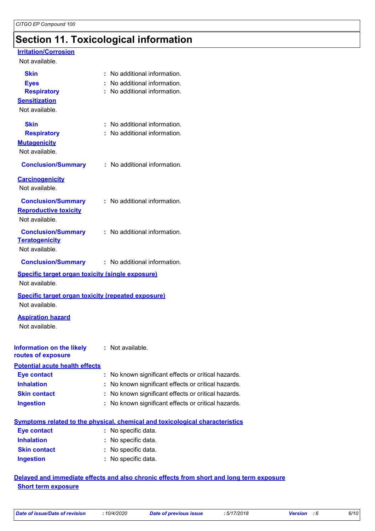## **Section 11. Toxicological information**

#### **Irritation/Corrosion**

#### Not available.

| <b>Skin</b><br><b>Eyes</b><br><b>Respiratory</b><br><b>Sensitization</b><br>Not available. | : No additional information.<br>: No additional information.<br>: No additional information. |
|--------------------------------------------------------------------------------------------|----------------------------------------------------------------------------------------------|
| <b>Skin</b><br><b>Respiratory</b><br><b>Mutagenicity</b><br>Not available.                 | : No additional information.<br>: No additional information.                                 |
| <b>Conclusion/Summary</b>                                                                  | : No additional information.                                                                 |
| <b>Carcinogenicity</b><br>Not available.                                                   |                                                                                              |
| <b>Conclusion/Summary</b><br><b>Reproductive toxicity</b><br>Not available.                | : No additional information.                                                                 |
| <b>Conclusion/Summary</b><br><b>Teratogenicity</b><br>Not available.                       | : No additional information.                                                                 |
| <b>Conclusion/Summary</b>                                                                  | : No additional information.                                                                 |
| <b>Specific target organ toxicity (single exposure)</b><br>Not available.                  |                                                                                              |
| <b>Specific target organ toxicity (repeated exposure)</b><br>Not available.                |                                                                                              |
| <b>Aspiration hazard</b><br>Not available.                                                 |                                                                                              |
| <b>Information on the likely : Not available.</b><br>routes of exposure                    |                                                                                              |
| <b>Potential acute health effects</b>                                                      |                                                                                              |
| <b>Eye contact</b>                                                                         | : No known significant effects or critical hazards.                                          |
| <b>Inhalation</b>                                                                          | No known significant effects or critical hazards.                                            |
| <b>Skin contact</b>                                                                        | No known significant effects or critical hazards.                                            |
| <b>Ingestion</b>                                                                           | : No known significant effects or critical hazards.                                          |
|                                                                                            | <b>Symptoms related to the physical, chemical and toxicological characteristics</b>          |
| <b>Eye contact</b>                                                                         | : No specific data.                                                                          |
| <b>Inhalation</b>                                                                          | No specific data.                                                                            |
| <b>Skin contact</b>                                                                        | : No specific data.                                                                          |
| <b>Ingestion</b>                                                                           | : No specific data.                                                                          |
|                                                                                            |                                                                                              |

#### **Delayed and immediate effects and also chronic effects from short and long term exposure Short term exposure**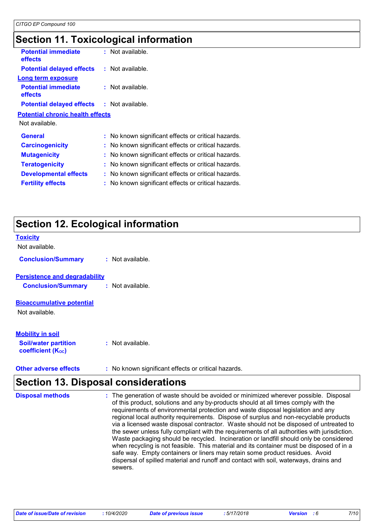## **Section 11. Toxicological information**

| <b>Potential immediate</b><br><b>effects</b> | $:$ Not available.                                  |
|----------------------------------------------|-----------------------------------------------------|
| <b>Potential delayed effects</b>             | : Not available.                                    |
| Long term exposure                           |                                                     |
| <b>Potential immediate</b><br><b>effects</b> | : Not available.                                    |
| <b>Potential delayed effects</b>             | : Not available.                                    |
| <b>Potential chronic health effects</b>      |                                                     |
| Not available.                               |                                                     |
| <b>General</b>                               | : No known significant effects or critical hazards. |
| <b>Carcinogenicity</b>                       | : No known significant effects or critical hazards. |
| <b>Mutagenicity</b>                          | : No known significant effects or critical hazards. |
| <b>Teratogenicity</b>                        | No known significant effects or critical hazards.   |
| <b>Developmental effects</b>                 | No known significant effects or critical hazards.   |
| <b>Fertility effects</b>                     | No known significant effects or critical hazards.   |
|                                              |                                                     |

## **Section 12. Ecological information**

| <b>Toxicity</b>                                         |                  |
|---------------------------------------------------------|------------------|
| Not available.                                          |                  |
| <b>Conclusion/Summary</b>                               | : Not available. |
| <b>Persistence and degradability</b>                    |                  |
| <b>Conclusion/Summary</b>                               | : Not available. |
| <b>Bioaccumulative potential</b>                        |                  |
| Not available.                                          |                  |
| <b>Mobility in soil</b>                                 |                  |
|                                                         |                  |
| <b>Soil/water partition</b><br><b>coefficient (Koc)</b> | : Not available. |

**Other adverse effects** : No known significant effects or critical hazards.

## **Section 13. Disposal considerations**

| <b>Disposal methods</b> | : The generation of waste should be avoided or minimized wherever possible. Disposal<br>of this product, solutions and any by-products should at all times comply with the<br>requirements of environmental protection and waste disposal legislation and any<br>regional local authority requirements. Dispose of surplus and non-recyclable products<br>via a licensed waste disposal contractor. Waste should not be disposed of untreated to<br>the sewer unless fully compliant with the requirements of all authorities with jurisdiction.<br>Waste packaging should be recycled. Incineration or landfill should only be considered<br>when recycling is not feasible. This material and its container must be disposed of in a<br>safe way. Empty containers or liners may retain some product residues. Avoid<br>dispersal of spilled material and runoff and contact with soil, waterways, drains and<br>sewers. |
|-------------------------|----------------------------------------------------------------------------------------------------------------------------------------------------------------------------------------------------------------------------------------------------------------------------------------------------------------------------------------------------------------------------------------------------------------------------------------------------------------------------------------------------------------------------------------------------------------------------------------------------------------------------------------------------------------------------------------------------------------------------------------------------------------------------------------------------------------------------------------------------------------------------------------------------------------------------|
|-------------------------|----------------------------------------------------------------------------------------------------------------------------------------------------------------------------------------------------------------------------------------------------------------------------------------------------------------------------------------------------------------------------------------------------------------------------------------------------------------------------------------------------------------------------------------------------------------------------------------------------------------------------------------------------------------------------------------------------------------------------------------------------------------------------------------------------------------------------------------------------------------------------------------------------------------------------|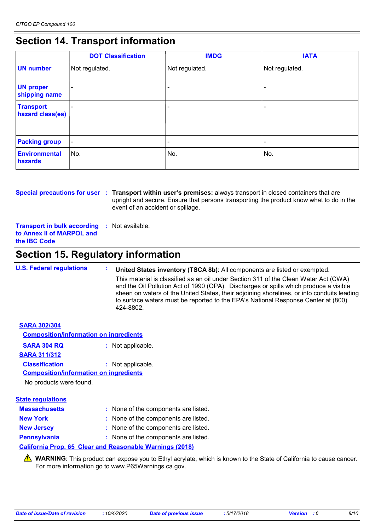## **Section 14. Transport information**

|                                      | <b>DOT Classification</b> | <b>IMDG</b>              | <b>IATA</b>    |
|--------------------------------------|---------------------------|--------------------------|----------------|
| <b>UN number</b>                     | Not regulated.            | Not regulated.           | Not regulated. |
| <b>UN proper</b><br>shipping name    |                           |                          |                |
| <b>Transport</b><br>hazard class(es) |                           |                          |                |
| <b>Packing group</b>                 | $\overline{\phantom{a}}$  | $\overline{\phantom{0}}$ | -              |
| Environmental<br>hazards             | No.                       | No.                      | No.            |

**Special precautions for user** : Transport within user's premises: always transport in closed containers that are upright and secure. Ensure that persons transporting the product know what to do in the event of an accident or spillage.

**Transport in bulk according to Annex II of MARPOL and the IBC Code :** Not available.

### **Section 15. Regulatory information**

**U.S. Federal regulations : United States inventory (TSCA 8b)**: All components are listed or exempted. This material is classified as an oil under Section 311 of the Clean Water Act (CWA) and the Oil Pollution Act of 1990 (OPA). Discharges or spills which produce a visible sheen on waters of the United States, their adjoining shorelines, or into conduits leading to surface waters must be reported to the EPA's National Response Center at (800) 424-8802.

| <b>SARA 302/304</b>                           |                   |
|-----------------------------------------------|-------------------|
| <b>Composition/information on ingredients</b> |                   |
| <b>SARA 304 RQ</b>                            | : Not applicable. |
| <b>SARA 311/312</b>                           |                   |
| <b>Classification</b>                         | : Not applicable. |
| <b>Composition/information on ingredients</b> |                   |
| No products were found.                       |                   |
|                                               |                   |

| <b>State regulations</b> |                                      |
|--------------------------|--------------------------------------|
| <b>Massachusetts</b>     | : None of the components are listed. |
| <b>New York</b>          | : None of the components are listed. |
| <b>New Jersey</b>        | : None of the components are listed. |
| <b>Pennsylvania</b>      | : None of the components are listed. |

#### **California Prop. 65 Clear and Reasonable Warnings (2018)**

WARNING: This product can expose you to Ethyl acrylate, which is known to the State of California to cause cancer. For more information go to www.P65Warnings.ca.gov.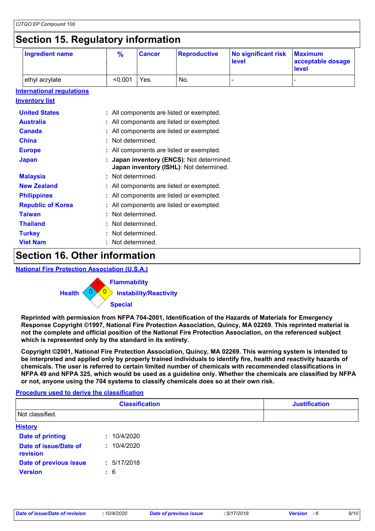### **Section 15. Regulatory information**

| ັ                                | ◢                                                                                  |               |                                          |                                     |                                              |
|----------------------------------|------------------------------------------------------------------------------------|---------------|------------------------------------------|-------------------------------------|----------------------------------------------|
| <b>Ingredient name</b>           | $\frac{9}{6}$                                                                      | <b>Cancer</b> | <b>Reproductive</b>                      | <b>No significant risk</b><br>level | <b>Maximum</b><br>acceptable dosage<br>level |
| ethyl acrylate                   | < 0.001                                                                            | Yes.          | No.                                      |                                     |                                              |
| <b>International requlations</b> |                                                                                    |               |                                          |                                     |                                              |
| <u>Inventory list</u>            |                                                                                    |               |                                          |                                     |                                              |
| <b>United States</b>             |                                                                                    |               | : All components are listed or exempted. |                                     |                                              |
| <b>Australia</b>                 |                                                                                    |               | All components are listed or exempted.   |                                     |                                              |
| <b>Canada</b>                    |                                                                                    |               | All components are listed or exempted.   |                                     |                                              |
| <b>China</b>                     | Not determined.                                                                    |               |                                          |                                     |                                              |
| <b>Europe</b>                    | All components are listed or exempted.                                             |               |                                          |                                     |                                              |
| <b>Japan</b>                     | Japan inventory (ENCS): Not determined.<br>Japan inventory (ISHL): Not determined. |               |                                          |                                     |                                              |
| <b>Malaysia</b>                  | Not determined.                                                                    |               |                                          |                                     |                                              |
| <b>New Zealand</b>               | : All components are listed or exempted.                                           |               |                                          |                                     |                                              |
| <b>Philippines</b>               | : All components are listed or exempted.                                           |               |                                          |                                     |                                              |
| <b>Republic of Korea</b>         |                                                                                    |               | : All components are listed or exempted. |                                     |                                              |
| <b>Taiwan</b>                    | Not determined.                                                                    |               |                                          |                                     |                                              |
| <b>Thailand</b>                  | Not determined.                                                                    |               |                                          |                                     |                                              |
| <b>Turkey</b>                    | Not determined.                                                                    |               |                                          |                                     |                                              |
| <b>Viet Nam</b>                  | Not determined.                                                                    |               |                                          |                                     |                                              |
|                                  |                                                                                    |               |                                          |                                     |                                              |

### **Section 16. Other information**

#### **National Fire Protection Association (U.S.A.)**



**Reprinted with permission from NFPA 704-2001, Identification of the Hazards of Materials for Emergency Response Copyright ©1997, National Fire Protection Association, Quincy, MA 02269. This reprinted material is not the complete and official position of the National Fire Protection Association, on the referenced subject which is represented only by the standard in its entirety.**

**Copyright ©2001, National Fire Protection Association, Quincy, MA 02269. This warning system is intended to be interpreted and applied only by properly trained individuals to identify fire, health and reactivity hazards of chemicals. The user is referred to certain limited number of chemicals with recommended classifications in NFPA 49 and NFPA 325, which would be used as a guideline only. Whether the chemicals are classified by NFPA or not, anyone using the 704 systems to classify chemicals does so at their own risk.**

#### **Procedure used to derive the classification**

|                                   | <b>Classification</b> | <b>Justification</b> |
|-----------------------------------|-----------------------|----------------------|
| Not classified.                   |                       |                      |
| <b>History</b>                    |                       |                      |
| <b>Date of printing</b>           | : 10/4/2020           |                      |
| Date of issue/Date of<br>revision | : 10/4/2020           |                      |
| Date of previous issue            | : 5/17/2018           |                      |
| <b>Version</b>                    | $\div$ 6              |                      |